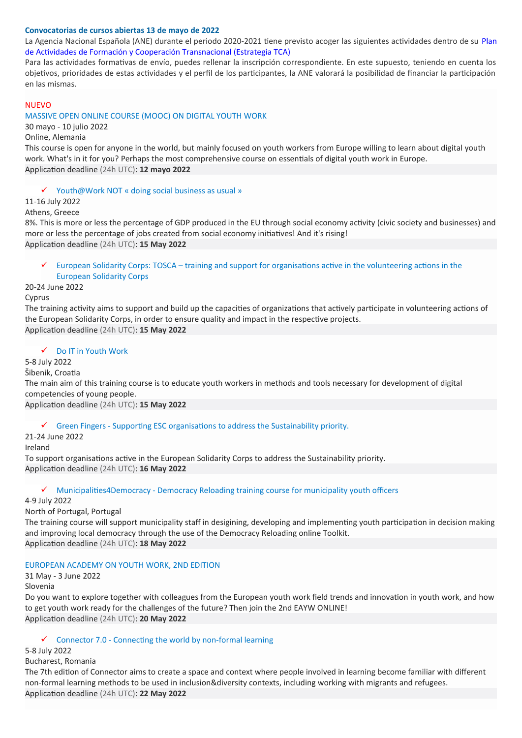#### **Convocatorias de cursos abiertas 13 de mayo de 2022**

La Agencia Nacional Española (ANE) durante el periodo 2020-2021 tiene previsto acoger las siguientes actividades dentro de su Plan de Actividades de Formación y Cooperación Transnacional (Estrategia TCA)

Para las actividades formativas de envío, puedes rellenar la inscripción correspondiente. En este supuesto, teniendo en cuenta los objetivos, prioridades de estas actividades y el perfil de los participantes, la ANE valorará la posibilidad de financiar la participación en las mismas.

#### NUEVO

MASSIVE OPEN ONLINE COURSE (MOOC) ON DIGITAL YOUTH WORK

30 mayo - 10 julio 2022

Online, Alemania

This course is open for anyone in the world, but mainly focused on youth workers from Europe willing to learn about digital youth work. What's in it for you? Perhaps the most comprehensive course on essentials of digital youth work in Europe. Application deadline (24h UTC): **12 mayo 2022**

 $\checkmark$  Youth@Work NOT « doing social business as usual »

11-16 July 2022

Athens, Greece

8%. This is more or less the percentage of GDP produced in the EU through social economy activity (civic society and businesses) and more or less the percentage of jobs created from social economy initiatives! And it's rising! Application deadline (24h UTC): **15 May 2022**

## European Solidarity Corps: TOSCA – training and support for organisations active in the volunteering actions in the European Solidarity Corps

#### 20-24 June 2022

#### Cyprus

The training activity aims to support and build up the capacities of organizations that actively participate in volunteering actions of the European Solidarity Corps, in order to ensure quality and impact in the respective projects. Application deadline (24h UTC): **15 May 2022**

#### Do IT in Youth Work

## 5-8 July 2022

#### Šibenik, Croatia

The main aim of this training course is to educate youth workers in methods and tools necessary for development of digital competencies of young people.

Application deadline (24h UTC): **15 May 2022**

#### $\checkmark$  Green Fingers - Supporting ESC organisations to address the Sustainability priority.

21-24 June 2022

Ireland

To support organisations active in the European Solidarity Corps to address the Sustainability priority. Application deadline (24h UTC): **16 May 2022**

#### $\checkmark$  Municipalities4Democracy - Democracy Reloading training course for municipality youth officers

#### 4-9 July 2022

North of Portugal, Portugal

The training course will support municipality staff in desigining, developing and implementing youth participation in decision making and improving local democracy through the use of the Democracy Reloading online Toolkit. Application deadline (24h UTC): **18 May 2022**

#### EUROPEAN ACADEMY ON YOUTH WORK, 2ND EDITION

31 May - 3 June 2022 Slovenia

Do you want to explore together with colleagues from the European youth work field trends and innovation in youth work, and how to get youth work ready for the challenges of the future? Then join the 2nd EAYW ONLINE! Application deadline (24h UTC): **20 May 2022** 

#### $\checkmark$  Connector 7.0 - Connecting the world by non-formal learning

## 5-8 July 2022

#### Bucharest, Romania

The 7th edition of Connector aims to create a space and context where people involved in learning become familiar with different non-formal learning methods to be used in inclusion&diversity contexts, including working with migrants and refugees. Application deadline (24h UTC): **22 May 2022**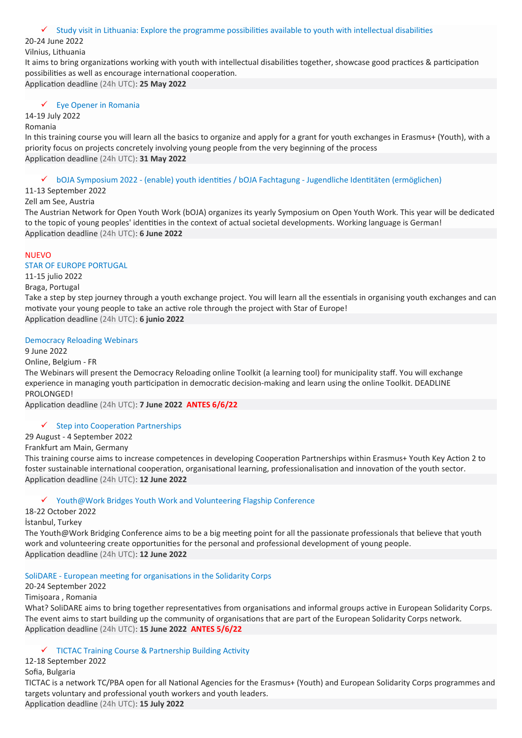#### $\checkmark$  Study visit in Lithuania: Explore the programme possibilities available to youth with intellectual disabilities

#### 20-24 June 2022

Vilnius, Lithuania

It aims to bring organizations working with youth with intellectual disabilities together, showcase good practices & participation possibilities as well as encourage international cooperation. Application deadline (24h UTC): **25 May 2022**

# $\checkmark$  Eve Opener in Romania

## 14-19 July 2022

#### Romania

In this training course you will learn all the basics to organize and apply for a grant for youth exchanges in Erasmus+ (Youth), with a priority focus on projects concretely involving young people from the very beginning of the process Application deadline (24h UTC): **31 May 2022**

 $\checkmark$  bOJA Symposium 2022 - (enable) youth identities / bOJA Fachtagung - Jugendliche Identitäten (ermöglichen)

#### 11-13 September 2022

#### Zell am See, Austria

The Austrian Network for Open Youth Work (bOJA) organizes its yearly Symposium on Open Youth Work. This year will be dedicated to the topic of young peoples' identities in the context of actual societal developments. Working language is German! Application deadline (24h UTC): **6 June 2022**

#### NUEVO

#### STAR OF EUROPE PORTUGAL

11-15 julio 2022

Braga, Portugal

Take a step by step journey through a youth exchange project. You will learn all the essentials in organising youth exchanges and can motivate your young people to take an active role through the project with Star of Europe! Application deadline (24h UTC): **6 junio 2022**

### Democracy Reloading Webinars

#### 9 June 2022

Online, Belgium - FR

The Webinars will present the Democracy Reloading online Toolkit (a learning tool) for municipality staff. You will exchange experience in managing youth participation in democratic decision-making and learn using the online Toolkit. DEADLINE PROLONGED!

Application deadline (24h UTC): **7 June 2022 ANTES 6/6/22**

#### $\checkmark$  Step into Cooperation Partnerships

29 August - 4 September 2022

Frankfurt am Main, Germany

This training course aims to increase competences in developing Cooperation Partnerships within Erasmus+ Youth Key Action 2 to foster sustainable international cooperation, organisational learning, professionalisation and innovation of the youth sector. Application deadline (24h UTC): **12 June 2022**

#### Youth@Work Bridges Youth Work and Volunteering Flagship Conference

18-22 October 2022

İstanbul, Turkey

The Youth@Work Bridging Conference aims to be a big meeting point for all the passionate professionals that believe that youth work and volunteering create opportunities for the personal and professional development of young people. Application deadline (24h UTC): **12 June 2022**

SoliDARE - European meeting for organisations in the Solidarity Corps

20-24 September 2022

Timișoara , Romania

What? SoliDARE aims to bring together representatives from organisations and informal groups active in European Solidarity Corps. The event aims to start building up the community of organisations that are part of the European Solidarity Corps network. Application deadline (24h UTC): **15 June 2022 ANTES 5/6/22**

#### $\checkmark$  TICTAC Training Course & Partnership Building Activity

12-18 September 2022 Sofia, Bulgaria

TICTAC is a network TC/PBA open for all National Agencies for the Erasmus+ (Youth) and European Solidarity Corps programmes and targets voluntary and professional youth workers and youth leaders.

Application deadline (24h UTC): **15 July 2022**